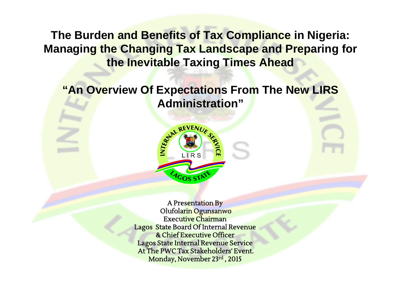**The Burden and Benefits of Tax Compliance in Nigeria: Managing the Changing Tax Landscape and Preparing for the Inevitable Taxing Times Ahead**

**"An Overview Of Expectations From The New LIRS Administration"**



A Presentation By Olufolarin Ogunsanwo Executive Chairman Lagos State Board Of Internal Revenue & Chief Executive Officer Lagos State Internal Revenue Service At The PWC Tax Stakeholders' Event. Monday, November 23rd , 2015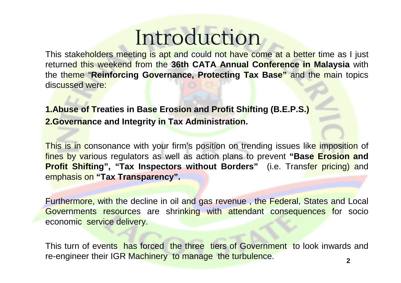## **Introduction**

This stakeholders meeting is apt and could not have come at a better time as I just returned this weekend from the **36th CATA Annual Conference in Malaysia** with the theme "**Reinforcing Governance, Protecting Tax Base"** and the main topics discussed were:

**1.Abuse of Treaties in Base Erosion and Profit Shifting (B.E.P.S.) 2.Governance and Integrity in Tax Administration.**

This is in consonance with your firm's position on trending issues like imposition of fines by various regulators as well as action plans to prevent **"Base Erosion and Profit Shifting", "Tax Inspectors without Borders"** (i.e. Transfer pricing) and emphasis on **"Tax Transparency".**

Furthermore, with the decline in oil and gas revenue , the Federal, States and Local Governments resources are shrinking with attendant consequences for socio economic service delivery.

This turn of events has forced the three tiers of Government to look inwards and re-engineer their IGR Machinery to manage the turbulence. **<sup>2</sup>**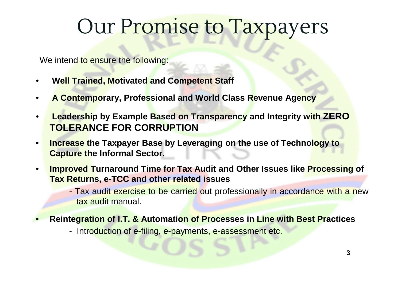#### Our Promise to Taxpayers

We intend to ensure the following:

- **Well Trained, Motivated and Competent Staff**
- **A Contemporary, Professional and World Class Revenue Agency**
- **Leadership by Example Based on Transparency and Integrity with ZERO TOLERANCE FOR CORRUPTION**
- **Increase the Taxpayer Base by Leveraging on the use of Technology to Capture the Informal Sector.**
- **Improved Turnaround Time for Tax Audit and Other Issues like Processing of Tax Returns, e-TCC and other related issues**
	- Tax audit exercise to be carried out professionally in accordance with a new tax audit manual.
- **Reintegration of I.T. & Automation of Processes in Line with Best Practices**
	- Introduction of e-filing, e-payments, e-assessment etc.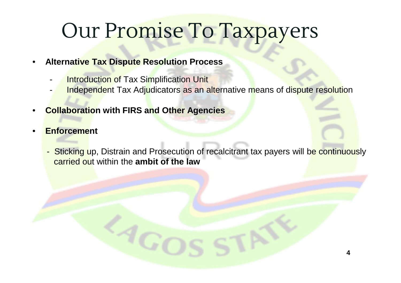## Our Promise To Taxpayers

- **Alternative Tax Dispute Resolution Process**
	- **Introduction of Tax Simplification Unit**
	- Independent Tax Adjudicators as an alternative means of dispute resolution
- **Collaboration with FIRS and Other Agencies**
- **Enforcement**
	- Sticking up, Distrain and Prosecution of recalcitrant tax payers will be continuously carried out within the **ambit of the law**

**4**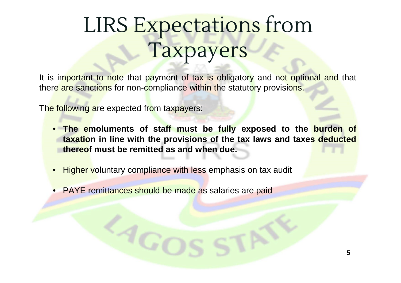# LIRS Expectations from Taxpayers

It is important to note that payment of tax is obligatory and not optional and that there are sanctions for non-compliance within the statutory provisions.

The following are expected from taxpayers:

- **The emoluments of staff must be fully exposed to the burden of taxation in line with the provisions of the tax laws and taxes deducted thereof must be remitted as and when due.**
- Higher voluntary compliance with less emphasis on tax audit
- PAYE remittances should be made as salaries are paid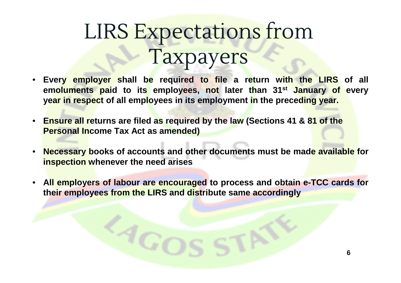## LIRS Expectations from Taxpayers

- **Every employer shall be required to file a return with the LIRS of all emoluments paid to its employees, not later than 31st January of every year in respect of all employees in its employment in the preceding year.**
- **Ensure all returns are filed as required by the law (Sections 41 & 81 of the Personal Income Tax Act as amended)**
- **Necessary books of accounts and other documents must be made available for inspection whenever the need arises**
- **All employers of labour are encouraged to process and obtain e-TCC cards for their employees from the LIRS and distribute same accordingly**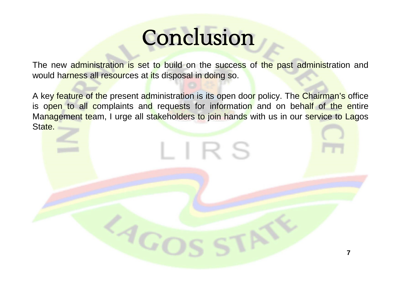## Conclusion

The new administration is set to build on the success of the past administration and would harness all resources at its disposal in doing so.

A key feature of the present administration is its open door policy. The Chairman's office is open to all complaints and requests for information and on behalf of the entire Management team, I urge all stakeholders to join hands with us in our service to Lagos State.

LIRS

 ${}^qG$ O

**7**